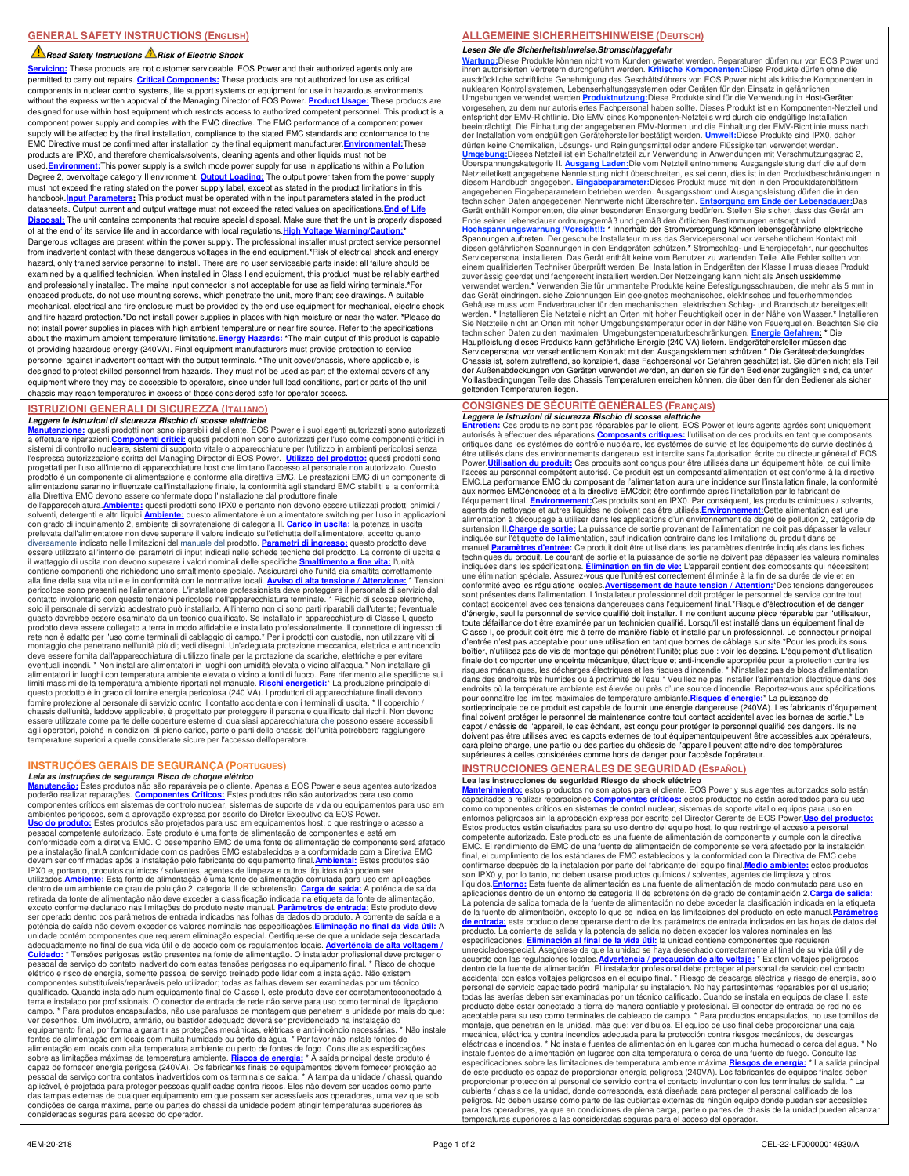### **Read Safety Instructions A Risk of Electric Shock**

**Servicing:** These products are not customer serviceable. EOS Power and their authorized agents only are permitted to carry out repairs. **Critical Components:** These products are not authorized for use as critical components in nuclear control systems, life support systems or equipment for use in hazardous environments without the express written approval of the Managing Director of EOS Power. **Product Usage:** These products are designed for use within host equipment which restricts access to authorized competent personnel. This product is a component power supply and complies with the EMC directive. The EMC performance of a component power supply will be affected by the final installation, compliance to the stated EMC standards and conformance to the EMC Directive must be confirmed after installation by the final equipment manufacturer.**Environmental:**These products are IPX0, and therefore chemicals/solvents, cleaning agents and other liquids must not be used.**Environment:**This power supply is a switch mode power supply for use in applications within a Pollution Degree 2, overvoltage category II environment. **Output Loading:** The output power taken from the power supply must not exceed the rating stated on the power supply label, except as stated in the product limitations in this handbook.<mark>Input Parameters:</mark> This product must be operated within the input parameters stated in the product<br>datasheets. Output current and output wattage must not exceed the rated values on specifications.<mark>End of Life</mark> Disposal: The unit contains components that require special disposal. Make sure that the unit is properly dispo of at the end of its service life and in accordance with local regulations. High Voltage Warning/Cau Dangerous voltages are present within the power supply. The professional installer must protect service personnel from inadvertent contact with these dangerous voltages in the end equipment.**\***Risk of electrical shock and energy hazard, only trained service personnel to install. There are no user serviceable parts inside; all failure should be examined by a qualified technician. When installed in Class I end equipment, this product must be reliably earthed and professionally installed. The mains input connector is not acceptable for use as field wiring terminals.**\***For encased products, do not use mounting screws, which penetrate the unit, more than; see drawings. A suitable mechanical, electrical and fire enclosure must be provided by the end use equipment for mechanical, electric shock and fire hazard protection.**\***Do not install power supplies in places with high moisture or near the water. **\***Please do not install power supplies in places with high ambient temperature or near fire source. Refer to the specifications about the maximum ambient temperature limitations.**Energy Hazards: \***The main output of this product is capable of providing hazardous energy (240VA). Final equipment manufacturers must provide protection to service personnel against inadvertent contact with the output terminals. **\***The unit cover/chassis, where applicable, is designed to protect skilled personnel from hazards. They must not be used as part of the external covers of any equipment where they may be accessible to operators, since under full load conditions, part or parts of the unit chassis may reach temperatures in excess of those considered safe for operator access.

## **ISTRUZIONI GENERALI DI SICUREZZA (ITALIANO)**

**Leggere le istruzioni di sicurezza Rischio di scosse elettriche**<br><mark>Manutenzione:</mark> questi prodotti non sono riparabili dal cliente. EOS Power e i suoi agenti autorizzati sono autorizzati<br>a effettuare riparazioni.<u>Componenti</u> sistemi di controllo nucleare, sistemi di supporto vitale o apparecchiature per l'utilizzo in ambienti pericolosi senza<br>l'espressa autorizzazione scritta del Managing Director di EOS Power. **Utilizzo del prodotto:** questi progettati per l'uso all'interno di apparecchiature host che limitano l'accesso al personale non autorizzato. Questo prodotto è un componente di alimentazione e conforme alla direttiva EMC. Le prestazioni EMC di un componente di<br>alimentazione saranno influenzate dall'installazione finale, la conformità agli standard EMC stabiliti e la co alla Direttiva EMC devono essere confermate dopo l'installazione dal produttore finale dell'apparecchiatura.**Ambiente:** questi prodotti sono IPX0 e pertanto non devono essere utilizzati prodotti chimici /

solventi, detergenti e altri liquidi.**Ambiente:** questo alimentatore è un alimentatore switching per l'uso in applicazioni con grado di inquinamento 2, ambiente di sovratensione di categoria II. <mark>Carico in uscita:</mark> la potenza in uscita<br>prelevata dall'alimentatore non deve superare il valore indicato sull'etichetta dell'alimentatore, eccetto qu diversamente indicato nelle limitazioni del manuale del prodotto. <mark>Parametri di ingresso:</mark> questo prodotto deve<br>essere utilizzato all'interno dei parametri di input indicati nelle schede tecniche del prodotto. La corrente il wattaggio di uscita non devono superare i valori nominali delle specifiche.**Smaltimento a fine vita:** l'unità contiene componenti che richiedono uno smaltimento speciale. Assicurarsi che l'unità sia smaltita correttamente<br>alla fine della sua vita utile e in conformità con le normative locali. <u>Avviso di alta tensione / Attenzione:</u> guasto dovrebbe essere esaminato da un tecnico qualificato. Se installato in apparecchiature di Classe I, questo<br>prodotto deve essere collegato a terra in modo affidabile e installato professionalmente. Il connettore di in rete non è adatto per l'uso come terminali di cablaggio di campo.\* Per i prodotti con custodia, non utilizzare viti di<br>montaggio che penetrano nell'unità più di; vedi disegni. Un'adeguata protezione meccanica, elettrica e eventuali incendi. \* Non installare alimentatori in luoghi con umidità elevata o vicino all'acqua.\* Non installare gli<br>alimentatori in luoghi con temperatura ambiente elevata o vicino a fonti di fuoco. Fare riferimento all questo prodotto è in grado di fornire energia pericolosa (240 VA). I produttori di apparecchiature finali devono fornire protezione al personale di servizio contro il contatto accidentale con i terminali di uscita. \* Il coperchio / chassis dell'unità, laddove applicabile, è progettato per proteggere il personale qualificato dai rischi. Non devono<br>essere utilizzate come parte delle coperture esterne di qualsiasi apparecchiatura che possono essere acce agli operatori, poiché in condizioni di pieno carico, parte o parti dello chassis dell'unità potrebbero raggiungere temperature superiori a quelle considerate sicure per l'accesso dell'operatore.

# **INSTRUÇÕES GERAIS DE SEGURANÇA (PORTUGUES)**

*Leia as instruções de segurança Risco de choque elétrico*<br><u>Manutencão:</u> Estes produtos não são reparáveis pelo cliente. Apenas a EOS Power e seus agentes autorizados<br>poderão realizar reparações. Componentes Críticos: Este ambientes perigosos, sem a aprovação expressa por escrito do Diretor Executivo da EOS Power.<br><mark>Uso do produto:</mark> Estes produtos são projetados para uso em equipamentos host, o que restringe o acesso a pessoal competente autorizado. Este produto é uma fonte de alimentação de componentes e está em conformidade com a diretiva EMC. O desempenho EMC de uma fonte de alimentação de componente será afetado pela instalação final.A conformidade com os padrões EMC estabelecidos e a conformidade com a Diretiva EMC devem ser confirmadas após a instalação pelo fabricante do equipamento final.<mark>Ambiental:</mark> Estes produtos são<br>IPX0 e, portanto, produtos químicos / solventes, agentes de limpeza e outros líquidos não podem ser utilizados.<mark>Ambiente:</mark> Esta fonte de alimentação é uma fonte de alimentação comutada para uso em aplicações<br>dentro de um ambiente de grau de poluição 2, categoria II de sobretensão. <mark>Carga de saída:</mark> A potência de saída retirada da fonte de alimentação não deve exceder a classificação indicada na etiqueta da fonte de alimentação, exceto conforme declarado nas limitações do produto neste manual. **Parâmetros de entrada:** Este produto deve ser operado dentro dos parâmetros de entrada indicados nas folhas de dados do produto. A corrente de saída e a potência de saída não devem exceder os valores nominais nas especificações.**Eliminação no final da vida útil:** A unidade contém componentes que requerem eliminação especial. Certifique-se de que a unidade seja descartada<br>adequadamente no final de sua vida útil e de acordo com os regulamentos locais. <mark>Advertência de alta voltagem</mark> / **Cuidado:** \* Tensões perigosas estão presentes na fonte de alimentação. O instalador profissional deve proteger o pessoal de serviço do contato inadvertido com estas tensões perigosas no equipamento final. \* Risco de choque elétrico e risco de energia, somente pessoal de serviço treinado pode lidar com a instalação. Não existem componentes substituíveis/reparáveis pelo utilizador; todas as falhas devem ser examinadas por um técnico qualificado. Quando instalado num equipamento final de Classe I, este produto deve ser corretamenteconectado à terra e instalado por profissionais. O conector de entrada de rede não serve para uso como terminal de ligaçãono campo. \* Para produtos encapsulados, não use parafusos de montagem que penetrem a unidade por mais do que: ver desenhos. Um invólucro, armário, ou bastidor adequado deverá ser providenciado na instalação do equipamento final, por forma a garantir as proteções mecânicas, elétricas e anti-incêndio necessárias. \* Não instale<br>fontes de alimentação em locais com muita humidade ou perto da água. \* Por favor não instale fontes de alimentação em locais com alta temperatura ambiente ou perto de fontes de fogo. Consulte as especificações sobre as limitações máximas da temperatura ambiente. <mark>Riscos de energia:</mark> \* A saída principal deste produto é<br>capaz de fornecer energia perigosa (240VA). Os fabricantes finais de equipamentos devem fornecer proteção ao pessoal de serviço contra contatos inadvertidos com os terminais de saída. \* A tampa da unidade / chassi, quando aplicável, é projetada para proteger pessoas qualificadas contra riscos. Eles não devem ser usados como parte das tampas externas de qualquer equipamento em que possam ser acessíveis aos operadores, uma vez que sob condições de carga máxima, parte ou partes do chassi da unidade podem atingir temperaturas superiores às consideradas seguras para acesso do operador.

# **ALLGEMEINE SICHERHEITSHINWEISE (DEUTSCH)**

**Lesen Sie die Sicherheitshinweise.Stromschlaggefahr**

<mark>Wartung:</mark>Diese Produkte können nicht vom Kunden gewartet werden. Reparaturen dürfen nur von EOS Power und<br>ihren autorisierten Vertretern durchgeführt werden. <u>Kritische Komponenten:</u>Diese Produkte dürfen ohne die<br>ausdrück nuklearen Kontrollsystemen, Lebenserhaltungssystemen oder Geräten für den Einsatz in gefährlichen<br>Umgebungen verwendet werden.P<mark>roduktnutzung</mark>:Diese Produkte sind für die Verwendung in Host-Geräten<br>vorgesehen, zu dem nur a entspricht der EMV-Richtlinie. Die EMV eines Komponenten-Netzteils wird durch die endgütige Installation<br>beeinträchtigt. Die Einhaltung der angegebenen EMV-Normen und die Einhaltung der EMV-Richtlinie muss nach<br>der Instal Überspannungskategorie II. <u>Ausgang Laden:</u>Die vom Netzteil entnommene Ausgangsleistung darf die auf dem<br>Netzteiletikett angegebene Nennleistung nicht überschreiten, es sei denn, dies ist in den Produktbeschränkungen in diesem Handbuch angegeben. <mark>Eingabeparameter:</mark>Dieses Produkt muss mit den in den Produktdatenblättern<br>angegebenen Eingabeparametern betrieben werden. Ausgangsstrom und Ausgangsleistung dürfen die in den technischen Daten angegebenen Nennwerte nicht überschreiten. **Entsorgung am Ende der Lebensdauer**: Das<br>Gerät enthält Komponenten, die einer besonderen Entsorgung bedürfen. Stellen Sie sicher, dass das Gerät am<br>Ende seiner zuverlässig geerdet und fachgerecht installiert werden.Der Netzeingang kann nicht als Anschlussklemme verwendet werden.**\*** Verwenden Sie für ummantelte Produkte keine Befestigungsschrauben, die mehr als 5 mm in das Gerät eindringen. siehe Zeichnungen Ein geeignetes mechanisches, elektrisches und feuerhemmendes Gehäuse muss vom Endverbraucher für den mechanischen, elektrischen Schlag- und Brandschutz bereitgestellt<br>werden. \* Installieren Sie Netzteile nicht an Orten mit hoher Feuchtigkeit oder in der Nähe von Wasser.\* Installiere Sie Netzteile nicht an Orten mit hoher Umgebungstemperatur oder in der Nähe von Feuerquellen. Beachten Sie die<br>technischen Daten zu den maximalen Umgebungstemperaturbeschränkungen. <mark>Energie Gefahren: \*</mark> Die<br>Hauptleistung Servicepersonal vor versehentlichem Kontakt mit den Ausgangsklemmen schützen.\* Die Geräteabdeckung/das<br>Chassis ist, sofern zutreffend, so konzipiert, dass Fachpersonal vor Gefahren geschützt ist. Sie dürfen nicht als Teil der Außenabdeckungen von Geräten verwendet werden, an denen sie für den Bediener zugänglich sind, da unter Volllastbedingungen Teile des Chassis Temperaturen erreichen können, die über den für den Bediener als sicher geltenden Temperaturen liegen.

#### **CONSIGNES DE SÉCURITÉ GÉNÉRALES (FRANÇAIS) Leggere le istruzioni di sicurezza Rischio di scosse elettriche**

Entretien: Ces produits ne sont pas réparables par le client. EOS Power et leurs agents agréés sont uniquement<br>autorisés à effectuer des réparations.Composants critiques: l'utilisation de ces produits en tant que composant critiques dans les systèmes de contrôle nucléaire, les systèmes de survie et les équipements de survie destinés à être utilisés dans des environnements dangereux est interdite sans l'autorisation écrite du directeur général d' EOS<br>Power.**Utilisation du produit:** Ces produits sont conçus pour être utilisés dans un équipement hôte, ce q l'accès au personnel compétent autorisé. Ce produit est un composantd'alimentation et est conforme à la directive EMC.La performance EMC du composant de l'alimentation aura une incidence sur l'installation finale, la conformité aux normes EMCénoncées et à la directive EMCdoit être confirmée après l'installation par le fabricant de l'équipement final. <u>Environnement:</u>Ces produits sont en IPX0. Par conséquent, les produits chimiques / solvants,<br>agents de nettoyage et autres liquides ne doivent pas être utilisés.<u>Environnement:</u>Cette alimentation est u alimentation à découpage à utiliser dans les applications d'un environnement de degré de pollution 2, catégorie de<br>surtension II. <mark>Charge de sortie:</mark> La puissance de sortie provenant de l'alimentation ne doit pas dépasser manuel.**Paramètres d'entrée:** Ce produit doit être utilisé dans les paramètres d'entrée indiqués dans les fiches techniques du produit. Le courant de sortie et la puissance de sortie ne doivent pas dépasser les valeurs nominales indiquées dans les spécifications. **Élimination en fin de vie:** L'appareil contient des composants qui nécessitent une élimination spéciale. Assurez-vous que l'unité est correctement éliminée à la fin de sa durée de vie et en<br>conformité avec les régulations locales.<mark>Avertissement de haute tension / Attention:</mark>\*Des tensions dangereuses sont présentes dans l'alimentation. L'installateur professionnel doit protéger le personnel de service contre tout<br>contact accidentel avec ces tensions dangereuses dans l'équipement final.\*Risque d'électrocution et de dang d'énergie, seul le personnel de service qualifié doit installer. Il ne contient aucune pièce réparable par l'utilisateur,<br>toute défaillance doit être examinée par un technicien qualifié. Lorsqu'il est installé dans un équi Classe I, ce produit doit être mis à terre de manière fiable et installé par un professionnel. Le connecteur principal d'entrée n'est pas acceptable pour une utilisation en tant que bornes de câblage sur site.\*Pour les produits sous<br>boîtier, n'utilisez pas de vis de montage qui pénètrent l'unité; plus que : voir les dessins. L'équipement d finale doit comporter une enceinte mécanique, électrique et anti-incendie appropriée pour la protection contre les<br>risques mécaniques, les décharges électriques et les risques d'incendie. \* N'installez pas de blocs d'alime endroits où la température ambiante est élevée ou près d'une source d'incendie. Reportez-vous aux spécifications<br>pour connaître les limites maximales de température ambiante. <mark>Risques d'énergie: "</mark> La puissance de<br>sortiepr doivent pas être utilisés avec les capots externes de tout équipementquipeuvent être accessibles aux opérateurs, carà pleine charge, une partie ou des parties du châssis de l'appareil peuvent atteindre des températures supérieures à celles considérées comme hors de danger pour l'accèsde l'opérateur.

# **INSTRUCCIONES GENERALES DE SEGURIDAD (ESPAÑOL)**

**Lea las instrucciones de seguridad Riesgo de shock eléctrico**<br><mark>Mantenimiento:</mark> estos productos no son aptos para el cliente. EOS Power y sus agentes autorizados solo están<br>capacitados a realizar reparaciones.<u>Componentes </u> como componentes críticos en sistemas de control nuclear, sistemas de soporte vital o equipos para uso en entornos peligrosos sin la aprobación expresa por escrito del Director Gerente de EOS Power.<mark>Uso del producto:</mark><br>Estos productos están diseñados para su uso dentro del equipo host, lo que restringe el acceso a personal competente autorizado. Este producto es una fuente de alimentación de componente y cumple con la directiva EMC. El rendimiento de EMC de una fuente de alimentación de componente se verá afectado por la instalación final, el cumplimiento de los estándares de EMC establecidos y la conformidad con la Directiva de EMC debe<br>confirmarse después de la instalación por parte del fabricante del equipo final.<mark>Medio ambiente:</mark> estos productos<br>s líquidos.<mark>Entorno:</mark> Esta fuente de alimentación es una fuente de alimentación de modo conmutado para uso en<br>aplicaciones dentro de un entorno de categoría II de sobretensión de grado de contaminación 2.<mark>Carga de salida:</mark> La potencia de salida tomada de la fuente de alimentación no debe exceder la clasificación indicada en la etiqueta de la fuente de alimentación, excepto lo que se indica en las limitaciones del producto en este manual.<mark>Parámetros</mark><br><mark>de entrada:</mark> este producto debe operarse dentro de los parámetros de entrada indicados en las hojas de da producto. La corriente de salida y la potencia de salida no deben exceder los valores nominales en las especificaciones. **Eliminación al final de la vida útil:** la unidad contiene componentes que requieren unrecicladoespecial. Asegúrese de que la unidad se haya desechado correctamente al final de su vida útil y de acuerdo con las regulaciones locales.<mark>Advertencia / precaución de alto voltaje:</mark> \* Existen voltajes peligrosos<br>dentro de la fuente de alimentación. El instalador profesional debe proteger al personal de servicio del contac todas las averías deben ser examinadas por un técnico calificado. Cuando se instala en equipos de clase I, este producto debe estar conectado a tierra de manera confiable y profesional. El conector de entrada de red no es aceptable para su uso como terminales de cableado de campo. \* Para productos encapsulados, no use tornillos de montaje, que penetran en la unidad, más que; ver dibujos. El equipo de uso final debe proporcionar una caja mecánica, eléctrica y contra incendios adecuada para la protección contra riesgos mecánicos, de descargas eléctricas e incendios. \* No instale fuentes de alimentación en lugares con mucha humedad o cerca del agua. \* No instale fuentes de alimentación en lugares con alta temperatura o cerca de una fuente de fuego. Consulte las<br>especificaciones sobre las limitaciones de temperatura ambiente máxima. <mark>Riesgos de energía:</mark> \* La salida princip peligros. No deben usarse como parte de las cubiertas externas de ningún equipo donde puedan ser accesibles para los operadores, ya que en condiciones de plena carga, parte o partes del chasis de la unidad pueden alcanzar eraturas superiores a las consideradas seguras para el acceso del operador.